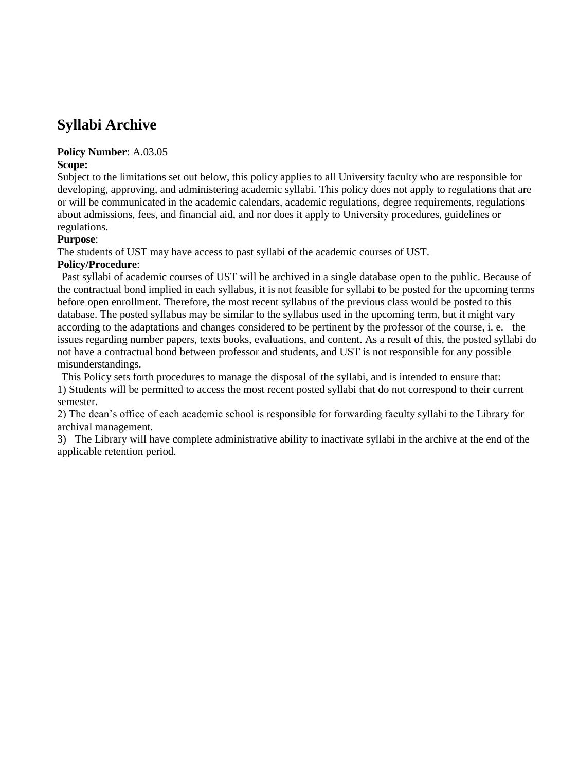# **Syllabi Archive**

## **Policy Number**: A.03.05

### **Scope:**

Subject to the limitations set out below, this policy applies to all University faculty who are responsible for developing, approving, and administering academic syllabi. This policy does not apply to regulations that are or will be communicated in the academic calendars, academic regulations, degree requirements, regulations about admissions, fees, and financial aid, and nor does it apply to University procedures, guidelines or regulations.

### **Purpose**:

The students of UST may have access to past syllabi of the academic courses of UST.

### **Policy/Procedure**:

Past syllabi of academic courses of UST will be archived in a single database open to the public. Because of the contractual bond implied in each syllabus, it is not feasible for syllabi to be posted for the upcoming terms before open enrollment. Therefore, the most recent syllabus of the previous class would be posted to this database. The posted syllabus may be similar to the syllabus used in the upcoming term, but it might vary according to the adaptations and changes considered to be pertinent by the professor of the course, i. e. the issues regarding number papers, texts books, evaluations, and content. As a result of this, the posted syllabi do not have a contractual bond between professor and students, and UST is not responsible for any possible misunderstandings.

This Policy sets forth procedures to manage the disposal of the syllabi, and is intended to ensure that: 1) Students will be permitted to access the most recent posted syllabi that do not correspond to their current semester.

2) The dean's office of each academic school is responsible for forwarding faculty syllabi to the Library for archival management.

3) The Library will have complete administrative ability to inactivate syllabi in the archive at the end of the applicable retention period.